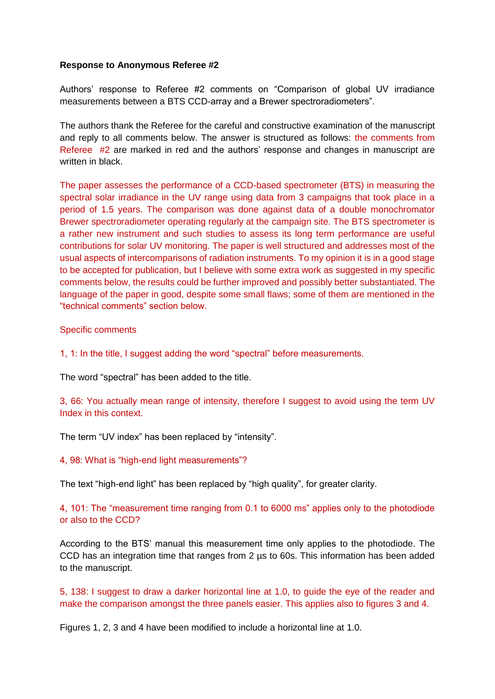### **Response to Anonymous Referee #2**

Authors' response to Referee #2 comments on "Comparison of global UV irradiance measurements between a BTS CCD-array and a Brewer spectroradiometers".

The authors thank the Referee for the careful and constructive examination of the manuscript and reply to all comments below. The answer is structured as follows: the comments from Referee #2 are marked in red and the authors' response and changes in manuscript are written in black.

The paper assesses the performance of a CCD-based spectrometer (BTS) in measuring the spectral solar irradiance in the UV range using data from 3 campaigns that took place in a period of 1.5 years. The comparison was done against data of a double monochromator Brewer spectroradiometer operating regularly at the campaign site. The BTS spectrometer is a rather new instrument and such studies to assess its long term performance are useful contributions for solar UV monitoring. The paper is well structured and addresses most of the usual aspects of intercomparisons of radiation instruments. To my opinion it is in a good stage to be accepted for publication, but I believe with some extra work as suggested in my specific comments below, the results could be further improved and possibly better substantiated. The language of the paper in good, despite some small flaws; some of them are mentioned in the "technical comments" section below.

Specific comments

1, 1: In the title, I suggest adding the word "spectral" before measurements.

The word "spectral" has been added to the title.

3, 66: You actually mean range of intensity, therefore I suggest to avoid using the term UV Index in this context.

The term "UV index" has been replaced by "intensity".

4, 98: What is "high-end light measurements"?

The text "high-end light" has been replaced by "high quality", for greater clarity.

4, 101: The "measurement time ranging from 0.1 to 6000 ms" applies only to the photodiode or also to the CCD?

According to the BTS' manual this measurement time only applies to the photodiode. The CCD has an integration time that ranges from 2 us to 60s. This information has been added to the manuscript.

5, 138: I suggest to draw a darker horizontal line at 1.0, to guide the eye of the reader and make the comparison amongst the three panels easier. This applies also to figures 3 and 4.

Figures 1, 2, 3 and 4 have been modified to include a horizontal line at 1.0.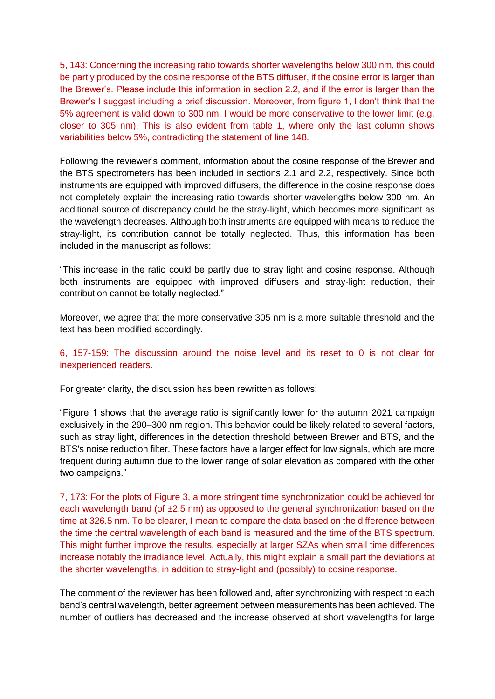5, 143: Concerning the increasing ratio towards shorter wavelengths below 300 nm, this could be partly produced by the cosine response of the BTS diffuser, if the cosine error is larger than the Brewer's. Please include this information in section 2.2, and if the error is larger than the Brewer's I suggest including a brief discussion. Moreover, from figure 1, I don't think that the 5% agreement is valid down to 300 nm. I would be more conservative to the lower limit (e.g. closer to 305 nm). This is also evident from table 1, where only the last column shows variabilities below 5%, contradicting the statement of line 148.

Following the reviewer's comment, information about the cosine response of the Brewer and the BTS spectrometers has been included in sections 2.1 and 2.2, respectively. Since both instruments are equipped with improved diffusers, the difference in the cosine response does not completely explain the increasing ratio towards shorter wavelengths below 300 nm. An additional source of discrepancy could be the stray-light, which becomes more significant as the wavelength decreases. Although both instruments are equipped with means to reduce the stray-light, its contribution cannot be totally neglected. Thus, this information has been included in the manuscript as follows:

"This increase in the ratio could be partly due to stray light and cosine response. Although both instruments are equipped with improved diffusers and stray-light reduction, their contribution cannot be totally neglected."

Moreover, we agree that the more conservative 305 nm is a more suitable threshold and the text has been modified accordingly.

6, 157-159: The discussion around the noise level and its reset to 0 is not clear for inexperienced readers.

For greater clarity, the discussion has been rewritten as follows:

"Figure 1 shows that the average ratio is significantly lower for the autumn 2021 campaign exclusively in the 290–300 nm region. This behavior could be likely related to several factors, such as stray light, differences in the detection threshold between Brewer and BTS, and the BTS's noise reduction filter. These factors have a larger effect for low signals, which are more frequent during autumn due to the lower range of solar elevation as compared with the other two campaigns."

7, 173: For the plots of Figure 3, a more stringent time synchronization could be achieved for each wavelength band (of  $\pm 2.5$  nm) as opposed to the general synchronization based on the time at 326.5 nm. To be clearer, I mean to compare the data based on the difference between the time the central wavelength of each band is measured and the time of the BTS spectrum. This might further improve the results, especially at larger SZAs when small time differences increase notably the irradiance level. Actually, this might explain a small part the deviations at the shorter wavelengths, in addition to stray-light and (possibly) to cosine response.

The comment of the reviewer has been followed and, after synchronizing with respect to each band's central wavelength, better agreement between measurements has been achieved. The number of outliers has decreased and the increase observed at short wavelengths for large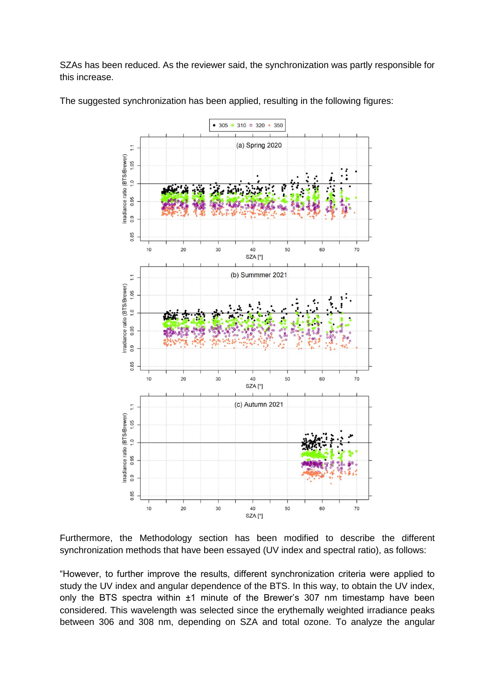SZAs has been reduced. As the reviewer said, the synchronization was partly responsible for this increase.



The suggested synchronization has been applied, resulting in the following figures:

Furthermore, the Methodology section has been modified to describe the different synchronization methods that have been essayed (UV index and spectral ratio), as follows:

"However, to further improve the results, different synchronization criteria were applied to study the UV index and angular dependence of the BTS. In this way, to obtain the UV index, only the BTS spectra within ±1 minute of the Brewer's 307 nm timestamp have been considered. This wavelength was selected since the erythemally weighted irradiance peaks between 306 and 308 nm, depending on SZA and total ozone. To analyze the angular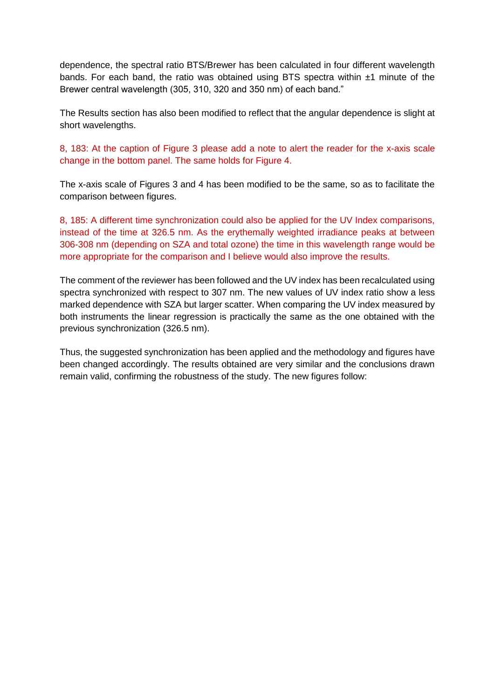dependence, the spectral ratio BTS/Brewer has been calculated in four different wavelength bands. For each band, the ratio was obtained using BTS spectra within  $±1$  minute of the Brewer central wavelength (305, 310, 320 and 350 nm) of each band."

The Results section has also been modified to reflect that the angular dependence is slight at short wavelengths.

8, 183: At the caption of Figure 3 please add a note to alert the reader for the x-axis scale change in the bottom panel. The same holds for Figure 4.

The x-axis scale of Figures 3 and 4 has been modified to be the same, so as to facilitate the comparison between figures.

8, 185: A different time synchronization could also be applied for the UV Index comparisons, instead of the time at 326.5 nm. As the erythemally weighted irradiance peaks at between 306-308 nm (depending on SZA and total ozone) the time in this wavelength range would be more appropriate for the comparison and I believe would also improve the results.

The comment of the reviewer has been followed and the UV index has been recalculated using spectra synchronized with respect to 307 nm. The new values of UV index ratio show a less marked dependence with SZA but larger scatter. When comparing the UV index measured by both instruments the linear regression is practically the same as the one obtained with the previous synchronization (326.5 nm).

Thus, the suggested synchronization has been applied and the methodology and figures have been changed accordingly. The results obtained are very similar and the conclusions drawn remain valid, confirming the robustness of the study. The new figures follow: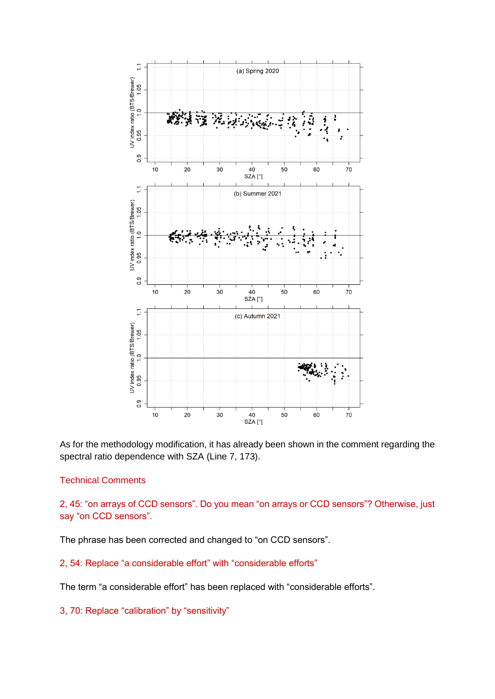

As for the methodology modification, it has already been shown in the comment regarding the spectral ratio dependence with SZA (Line 7, 173).

# Technical Comments

2, 45: "on arrays of CCD sensors". Do you mean "on arrays or CCD sensors"? Otherwise, just say "on CCD sensors".

The phrase has been corrected and changed to "on CCD sensors".

## 2, 54: Replace "a considerable effort" with "considerable efforts"

The term "a considerable effort" has been replaced with "considerable efforts".

### 3, 70: Replace "calibration" by "sensitivity"